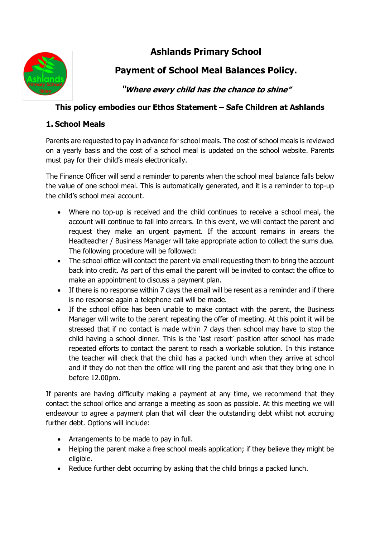

# **Ashlands Primary School**

## **Payment of School Meal Balances Policy.**

**"Where every child has the chance to shine"**

### **This policy embodies our Ethos Statement – Safe Children at Ashlands**

### **1. School Meals**

Parents are requested to pay in advance for school meals. The cost of school meals is reviewed on a yearly basis and the cost of a school meal is updated on the school website. Parents must pay for their child's meals electronically.

The Finance Officer will send a reminder to parents when the school meal balance falls below the value of one school meal. This is automatically generated, and it is a reminder to top-up the child's school meal account.

- Where no top-up is received and the child continues to receive a school meal, the account will continue to fall into arrears. In this event, we will contact the parent and request they make an urgent payment. If the account remains in arears the Headteacher / Business Manager will take appropriate action to collect the sums due. The following procedure will be followed:
- The school office will contact the parent via email requesting them to bring the account back into credit. As part of this email the parent will be invited to contact the office to make an appointment to discuss a payment plan.
- If there is no response within 7 days the email will be resent as a reminder and if there is no response again a telephone call will be made.
- If the school office has been unable to make contact with the parent, the Business Manager will write to the parent repeating the offer of meeting. At this point it will be stressed that if no contact is made within 7 days then school may have to stop the child having a school dinner. This is the 'last resort' position after school has made repeated efforts to contact the parent to reach a workable solution. In this instance the teacher will check that the child has a packed lunch when they arrive at school and if they do not then the office will ring the parent and ask that they bring one in before 12.00pm.

If parents are having difficulty making a payment at any time, we recommend that they contact the school office and arrange a meeting as soon as possible. At this meeting we will endeavour to agree a payment plan that will clear the outstanding debt whilst not accruing further debt. Options will include:

- Arrangements to be made to pay in full.
- Helping the parent make a free school meals application; if they believe they might be eligible.
- Reduce further debt occurring by asking that the child brings a packed lunch.